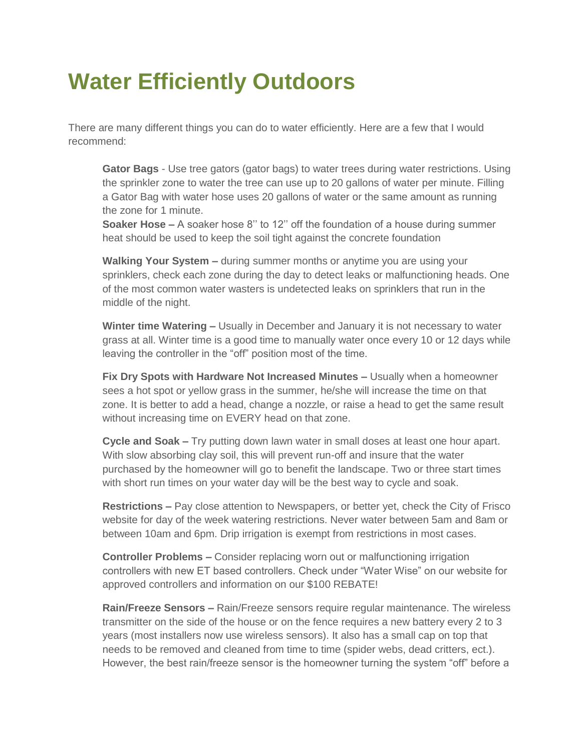## **Water Efficiently Outdoors**

There are many different things you can do to water efficiently. Here are a few that I would recommend:

**Gator Bags** - Use tree gators (gator bags) to water trees during water restrictions. Using the sprinkler zone to water the tree can use up to 20 gallons of water per minute. Filling a Gator Bag with water hose uses 20 gallons of water or the same amount as running the zone for 1 minute.

**Soaker Hose –** A soaker hose 8'' to 12'' off the foundation of a house during summer heat should be used to keep the soil tight against the concrete foundation

**Walking Your System –** during summer months or anytime you are using your sprinklers, check each zone during the day to detect leaks or malfunctioning heads. One of the most common water wasters is undetected leaks on sprinklers that run in the middle of the night.

**Winter time Watering –** Usually in December and January it is not necessary to water grass at all. Winter time is a good time to manually water once every 10 or 12 days while leaving the controller in the "off" position most of the time.

**Fix Dry Spots with Hardware Not Increased Minutes –** Usually when a homeowner sees a hot spot or yellow grass in the summer, he/she will increase the time on that zone. It is better to add a head, change a nozzle, or raise a head to get the same result without increasing time on EVERY head on that zone.

**Cycle and Soak –** Try putting down lawn water in small doses at least one hour apart. With slow absorbing clay soil, this will prevent run-off and insure that the water purchased by the homeowner will go to benefit the landscape. Two or three start times with short run times on your water day will be the best way to cycle and soak.

**Restrictions –** Pay close attention to Newspapers, or better yet, check the City of Frisco website for day of the week watering restrictions. Never water between 5am and 8am or between 10am and 6pm. Drip irrigation is exempt from restrictions in most cases.

**Controller Problems –** Consider replacing worn out or malfunctioning irrigation controllers with new ET based controllers. Check under "Water Wise" on our website for approved controllers and information on our \$100 REBATE!

**Rain/Freeze Sensors –** Rain/Freeze sensors require regular maintenance. The wireless transmitter on the side of the house or on the fence requires a new battery every 2 to 3 years (most installers now use wireless sensors). It also has a small cap on top that needs to be removed and cleaned from time to time (spider webs, dead critters, ect.). However, the best rain/freeze sensor is the homeowner turning the system "off" before a